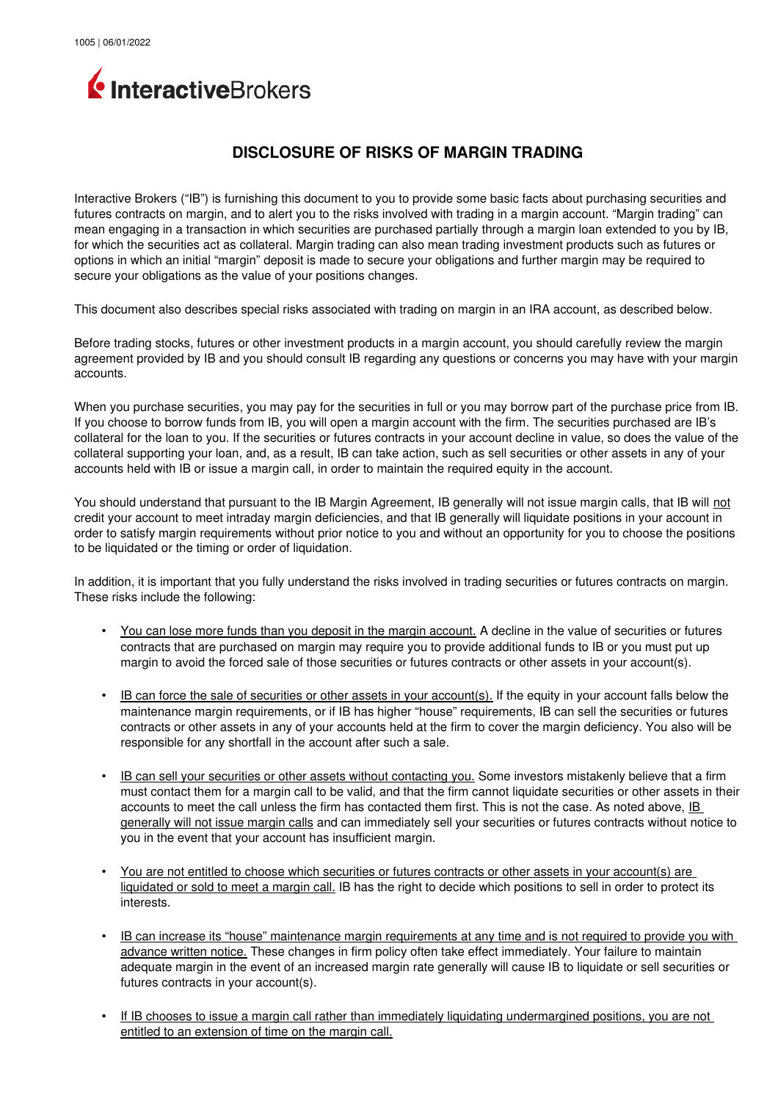

## **DISCLOSURE OF RISKS OF MARGIN TRADING**

Interactive Brokers ("IB") is furnishing this document to you to provide some basic facts about purchasing securities and futures contracts on margin, and to alert you to the risks involved with trading in a margin account. "Margin trading" can mean engaging in a transaction in which securities are purchased partially through a margin loan extended to you by IB, for which the securities act as collateral. Margin trading can also mean trading investment products such as futures or options in which an initial "margin" deposit is made to secure your obligations and further margin may be required to secure your obligations as the value of your positions changes.

This document also describes special risks associated with trading on margin in an IRA account, as described below.

Before trading stocks, futures or other investment products in a margin account, you should carefully review the margin agreement provided by IB and you should consult IB regarding any questions or concerns you may have with your margin accounts.

When you purchase securities, you may pay for the securities in full or you may borrow part of the purchase price from IB. If you choose to borrow funds from IB, you will open a margin account with the firm. The securities purchased are IB's collateral for the loan to you. If the securities or futures contracts in your account decline in value, so does the value of the collateral supporting your loan, and, as a result, IB can take action, such as sell securities or other assets in any of your accounts held with IB or issue a margin call, in order to maintain the required equity in the account.

You should understand that pursuant to the IB Margin Agreement, IB generally will not issue margin calls, that IB will not credit your account to meet intraday margin deficiencies, and that IB generally will liquidate positions in your account in order to satisfy margin requirements without prior notice to you and without an opportunity for you to choose the positions to be liquidated or the timing or order of liquidation.

In addition, it is important that you fully understand the risks involved in trading securities or futures contracts on margin. These risks include the following:

- You can lose more funds than you deposit in the margin account. A decline in the value of securities or futures contracts that are purchased on margin may require you to provide additional funds to IB or you must put up margin to avoid the forced sale of those securities or futures contracts or other assets in your account(s).
- IB can force the sale of securities or other assets in your account(s). If the equity in your account falls below the maintenance margin requirements, or if IB has higher "house" requirements, IB can sell the securities or futures contracts or other assets in any of your accounts held at the firm to cover the margin deficiency. You also will be responsible for any shortfall in the account after such a sale.
- IB can sell your securities or other assets without contacting you. Some investors mistakenly believe that a firm must contact them for a margin call to be valid, and that the firm cannot liquidate securities or other assets in their accounts to meet the call unless the firm has contacted them first. This is not the case. As noted above, IB generally will not issue margin calls and can immediately sell your securities or futures contracts without notice to you in the event that your account has insufficient margin.
- You are not entitled to choose which securities or futures contracts or other assets in your account(s) are liquidated or sold to meet a margin call. IB has the right to decide which positions to sell in order to protect its interests.
- IB can increase its "house" maintenance margin requirements at any time and is not required to provide you with advance written notice. These changes in firm policy often take effect immediately. Your failure to maintain adequate margin in the event of an increased margin rate generally will cause IB to liquidate or sell securities or futures contracts in your account(s).
- If IB chooses to issue a margin call rather than immediately liquidating undermargined positions, you are not entitled to an extension of time on the margin call.